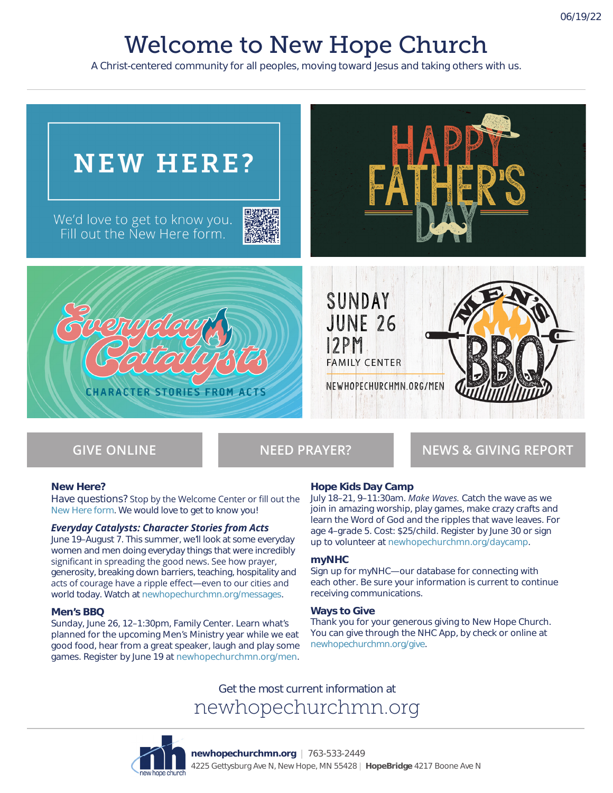# Welcome to New Hope Church

A Christ-centered community for all peoples, moving toward Jesus and taking others with us.



**GIVE ONLINE NEED PRAYER? NEWS & GIVING REPORT**

#### **New Here?**

Have questions? Stop by the Welcome Center or fill out the New Here form. We would love to get to know you!

#### *Everyday Catalysts: Character Stories from Acts*

June 19–August 7. This summer, we'll look at some everyday women and men doing everyday things that were incredibly significant in spreading the good news. See how prayer, generosity, breaking down barriers, teaching, hospitality and acts of courage have a ripple effect—even to our cities and world today. Watch at newhopechurchmn.org/messages.

#### **Men's BBQ**

Sunday, June 26, 12–1:30pm, Family Center. Learn what's planned for the upcoming Men's Ministry year while we eat good food, hear from a great speaker, laugh and play some games. Register by June 19 at newhopechurchmn.org/men.

### **Hope Kids Day Camp**

July 18–21, 9–11:30am. *Make Waves.* Catch the wave as we join in amazing worship, play games, make crazy crafts and learn the Word of God and the ripples that wave leaves. For age 4–grade 5. Cost: \$25/child. Register by June 30 or sign up to volunteer at newhopechurchmn.org/daycamp.

#### **myNHC**

Sign up for myNHC—our database for connecting with each other. Be sure your information is current to continue receiving communications.

#### **Ways to Give**

Thank you for your generous giving to New Hope Church. You can give through the NHC App, by check or online at newhopechurchmn.org/give.

Get the most current information at newhopechurchmn.org